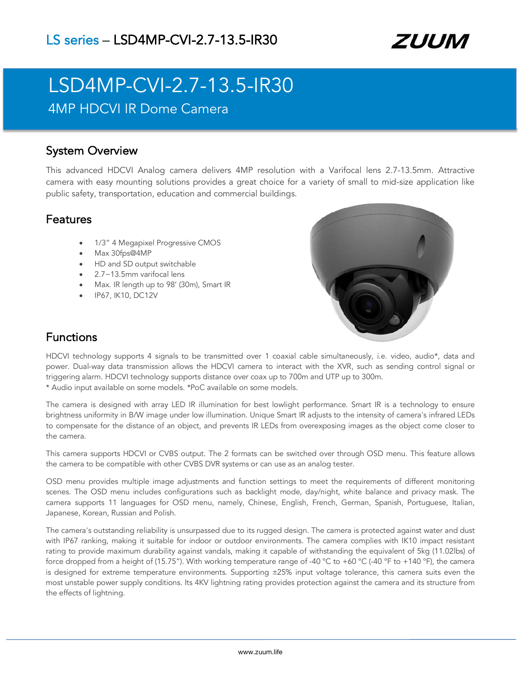

# LSD4MP-CVI-2.7-13.5-IR30

4MP HDCVI IR Dome Camera

### System Overview

This advanced HDCVI Analog camera delivers 4MP resolution with a Varifocal lens 2.7-13.5mm. Attractive camera with easy mounting solutions provides a great choice for a variety of small to mid-size application like public safety, transportation, education and commercial buildings.

#### Features

- 1/3" 4 Megapixel Progressive CMOS
- Max 30fps@4MP
- HD and SD output switchable
- 2.7~13.5mm varifocal lens
- Max. IR length up to 98' (30m), Smart IR
- IP67, IK10, DC12V



## Functions

HDCVI technology supports 4 signals to be transmitted over 1 coaxial cable simultaneously, i.e. video, audio\*, data and power. Dual-way data transmission allows the HDCVI camera to interact with the XVR, such as sending control signal or triggering alarm. HDCVI technology supports distance over coax up to 700m and UTP up to 300m. \* Audio input available on some models. \*PoC available on some models.

The camera is designed with array LED IR illumination for best lowlight performance. Smart IR is a technology to ensure brightness uniformity in B/W image under low illumination. Unique Smart IR adjusts to the intensity of camera's infrared LEDs to compensate for the distance of an object, and prevents IR LEDs from overexposing images as the object come closer to the camera.

This camera supports HDCVI or CVBS output. The 2 formats can be switched over through OSD menu. This feature allows the camera to be compatible with other CVBS DVR systems or can use as an analog tester.

OSD menu provides multiple image adjustments and function settings to meet the requirements of different monitoring scenes. The OSD menu includes configurations such as backlight mode, day/night, white balance and privacy mask. The camera supports 11 languages for OSD menu, namely, Chinese, English, French, German, Spanish, Portuguese, Italian, Japanese, Korean, Russian and Polish.

The camera's outstanding reliability is unsurpassed due to its rugged design. The camera is protected against water and dust with IP67 ranking, making it suitable for indoor or outdoor environments. The camera complies with IK10 impact resistant rating to provide maximum durability against vandals, making it capable of withstanding the equivalent of 5kg (11.02lbs) of force dropped from a height of (15.75"). With working temperature range of -40 °C to +60 °C (-40 °F to +140 °F), the camera is designed for extreme temperature environments. Supporting ±25% input voltage tolerance, this camera suits even the most unstable power supply conditions. Its 4KV lightning rating provides protection against the camera and its structure from the effects of lightning.